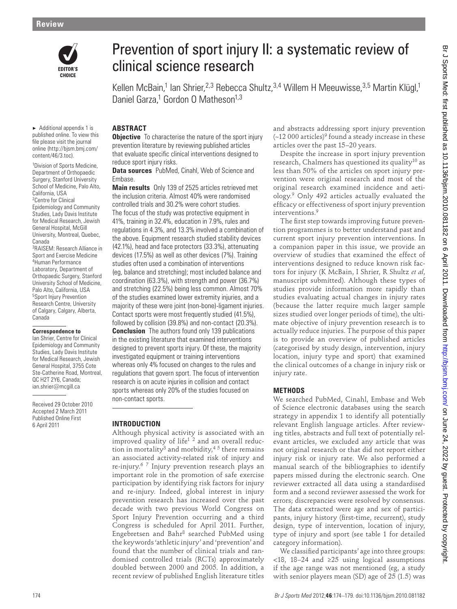

 $\blacktriangleright$  Additional appendix 1 is published online. To view this file please visit the journal online (http://bjsm.bmj.com/ content/46/3.toc).

1 Division of Sports Medicine, Department of Orthopaedic Surgery, Stanford University School of Medicine, Palo Alto, California, USA

2 Centre for Clinical Epidemiology and Community Studies, Lady Davis Institute for Medical Research, Jewish General Hospital, McGill University, Montreal, Quebec, Canada

3 RAISEM: Research Alliance in Sport and Exercise Medicine <sup>4</sup> Human Performance Laboratory, Department of Orthopaedic Surgery, Stanford University School of Medicine, Palo Alto, California, USA 5 Sport Injury Prevention Research Centre, University of Calgary, Calgary, Alberta, Canada

#### **Correspondence to**

 Ian Shrier, Centre for Clinical Epidemiology and Community Studies, Lady Davis Institute for Medical Research, Jewish General Hospital, 3755 Cote Ste-Catherine Road, Montreal, QC H2T 2Y6, Canada; ian.shrier@mcgill.ca

Received 29 October 2010 Accepted 2 March 2011 Published Online First 6 April 2011

# Prevention of sport injury II: a systematic review of clinical science research

Kellen McBain,<sup>1</sup> Ian Shrier,<sup>2,3</sup> Rebecca Shultz,<sup>3,4</sup> Willem H Meeuwisse,<sup>3,5</sup> Martin Klügl,<sup>1</sup> Daniel Garza,<sup>1</sup> Gordon O Matheson<sup>1,3</sup>

## **ABSTRACT**

**Objective** To characterise the nature of the sport injury prevention literature by reviewing published articles that evaluate specific clinical interventions designed to reduce sport injury risks.

 **Data sources** PubMed, Cinahl, Web of Science and Embase.

 **Main results** Only 139 of 2525 articles retrieved met the inclusion criteria. Almost 40% were randomised controlled trials and 30.2% were cohort studies. The focus of the study was protective equipment in 41%, training in 32.4%, education in 7.9%, rules and regulations in 4.3%, and 13.3% involved a combination of the above. Equipment research studied stability devices (42.1%), head and face protectors (33.3%), attenuating devices (17.5%) as well as other devices (7%). Training studies often used a combination of interventions (eg, balance and stretching); most included balance and coordination (63.3%), with strength and power (36.7%) and stretching (22.5%) being less common. Almost 70% of the studies examined lower extremity injuries, and a majority of these were joint (non-bone)-ligament injuries. Contact sports were most frequently studied (41.5%), followed by collision (39.8%) and non-contact (20.3%).  **Conclusion** The authors found only 139 publications in the existing literature that examined interventions designed to prevent sports injury. Of these, the majority investigated equipment or training interventions whereas only 4% focused on changes to the rules and regulations that govern sport. The focus of intervention research is on acute injuries in collision and contact sports whereas only 20% of the studies focused on non-contact sports. **Conservation in the conservation of the conservation in the conservation in the conservation in the conservation in the conservation in the conservation in the conservation in the conservation in the conservation in the** 

#### **INTRODUCTION**

Although physical activity is associated with an improved quality of life $1^2$  and an overall reduction in mortality<sup>3</sup> and morbidity,<sup>45</sup> there remains an associated activity-related risk of injury and re-injury. 6 7 Injury prevention research plays an important role in the promotion of safe exercise participation by identifying risk factors for injury and re-injury. Indeed, global interest in injury prevention research has increased over the past decade with two previous World Congress on Sport Injury Prevention occurring and a third Congress is scheduled for April 2011. Further, Engebretsen and Bahr<sup>8</sup> searched PubMed using the keywords 'athletic injury' and 'prevention' and found that the number of clinical trials and randomised controlled trials (RCTs) approximately doubled between 2000 and 2005. In addition, a recent review of published English literature titles and abstracts addressing sport injury prevention  $(-12000$  articles)<sup>9</sup> found a steady increase in these articles over the past 15–20 years.

Despite the increase in sport injury prevention research, Chalmers has questioned its quality<sup>10</sup> as less than 50% of the articles on sport injury prevention were original research and most of the original research examined incidence and aetiology. 9 Only 492 articles actually evaluated the efficacy or effectiveness of sport injury prevention interventions. 9

The first step towards improving future prevention programmes is to better understand past and current sport injury prevention interventions. In a companion paper in this issue, we provide an overview of studies that examined the effect of interventions designed to reduce known risk factors for injury (K McBain, I Shrier, R Shultz *et al* , manuscript submitted). Although these types of studies provide information more rapidly than studies evaluating actual changes in injury rates (because the latter require much larger sample sizes studied over longer periods of time), the ultimate objective of injury prevention research is to actually reduce injuries. The purpose of this paper is to provide an overview of published articles (categorised by study design, intervention, injury location, injury type and sport) that examined the clinical outcomes of a change in injury risk or injury rate.

#### **METHODS**

We searched PubMed, Cinahl, Embase and Web of Science electronic databases using the search strategy in appendix 1 to identify all potentially relevant English language articles. After reviewing titles, abstracts and full text of potentially relevant articles, we excluded any article that was not original research or that did not report either injury risk or injury rate. We also performed a manual search of the bibliographies to identify papers missed during the electronic search. One reviewer extracted all data using a standardised form and a second reviewer assessed the work for errors; discrepancies were resolved by consensus. The data extracted were age and sex of participants, injury history (first-time, recurrent), study design, type of intervention, location of injury, type of injury and sport (see table 1 for detailed category information).

We classified participants' age into three groups: <18, 18–24 and ≥25 using logical assumptions if the age range was not mentioned (eg, a study with senior players mean (SD) age of 25 (1.5) was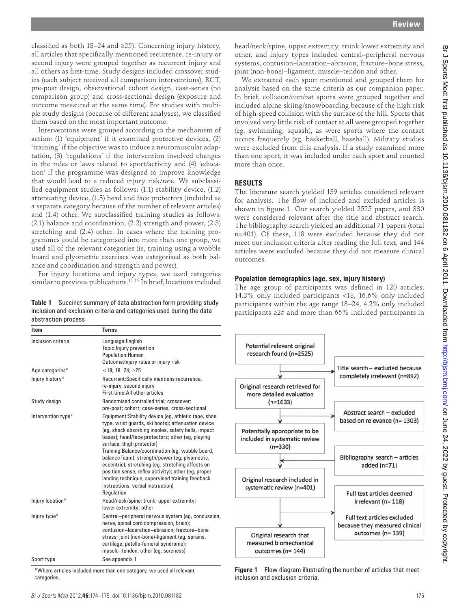classified as both 18–24 and ≥25). Concerning injury history, all articles that specifically mentioned recurrence, re-injury or second injury were grouped together as recurrent injury and all others as first-time. Study designs included crossover studies (each subject received all comparison interventions), RCT, pre-post design, observational cohort design, case-series (no comparison group) and cross-sectional design (exposure and outcome measured at the same time). For studies with multiple study designs (because of different analyses), we classified them based on the most important outcome.

Interventions were grouped according to the mechanism of action: (1) 'equipment' if it examined protective devices, (2) 'training' if the objective was to induce a neuromuscular adaptation, (3) 'regulations' if the intervention involved changes in the rules or laws related to sport/activity and (4) 'education' if the programme was designed to improve knowledge that would lead to a reduced injury risk/rate. We subclassified equipment studies as follows:  $(1.1)$  stability device,  $(1.2)$ attenuating device, (1.3) head and face protectors (included as a separate category because of the number of relevant articles) and (1.4) other. We subclassified training studies as follows: (2.1) balance and coordination, (2.2) strength and power, (2.3) stretching and (2.4) other. In cases where the training programmes could be categorised into more than one group, we used all of the relevant categories (ie, training using a wobble board and plyometric exercises was categorised as both balance and coordination and strength and power).

For injury locations and injury types, we used categories similar to previous publications. 11 12 In brief, locations included

**Table 1** Succinct summary of data abstraction form providing study inclusion and exclusion criteria and categories used during the data abstraction process

| Item               | <b>Terms</b>                                                                                                                                                                                                                                                                                                                                                                                                                                                                                                                                                              |  |
|--------------------|---------------------------------------------------------------------------------------------------------------------------------------------------------------------------------------------------------------------------------------------------------------------------------------------------------------------------------------------------------------------------------------------------------------------------------------------------------------------------------------------------------------------------------------------------------------------------|--|
| Inclusion criteria | Language: English<br>Topic: Injury prevention<br>Population: Human<br>Outcome: Injury rates or injury risk                                                                                                                                                                                                                                                                                                                                                                                                                                                                |  |
| Age categories*    | $<$ 18: 18-24: $\geq$ 25                                                                                                                                                                                                                                                                                                                                                                                                                                                                                                                                                  |  |
| Injury history*    | Recurrent: Specifically mentions recurrence,<br>re-injury, second injury<br>First-time: All other articles                                                                                                                                                                                                                                                                                                                                                                                                                                                                |  |
| Study design       | Randomised controlled trial; crossover;<br>pre-post; cohort; case-series, cross-sectional                                                                                                                                                                                                                                                                                                                                                                                                                                                                                 |  |
| Intervention type* | Equipment: Stability device (eg, athletic tape, shoe<br>type, wrist guards, ski boots); attenuation device<br>(eq, shock absorbing insoles, safety balls, impact<br>bases); head/face protectors; other (eq, playing<br>surface, thigh protector)<br>Training:Balance/coordination (eg, wobble board,<br>balance foam); strength/power (eg, plyometric,<br>eccentric); stretching (eg, stretching affects on<br>position sense, reflex activity); other (eg, proper<br>landing technique, supervised training feedback<br>instructions, verbal instruction)<br>Regulation |  |
| Injury location*   | Head/neck/spine; trunk; upper extremity;<br>lower extremity; other                                                                                                                                                                                                                                                                                                                                                                                                                                                                                                        |  |
| Injury type*       | Central-peripheral nervous system (eq. concussion,<br>nerve, spinal cord compression, brain);<br>contusion-laceration-abrasion; fracture-bone<br>stress; joint (non-bone)-ligament (eg, sprains,<br>cartilage, patello-femoral syndrome);<br>muscle-tendon; other (eg, soreness)                                                                                                                                                                                                                                                                                          |  |
| Sport type         | See appendix 1                                                                                                                                                                                                                                                                                                                                                                                                                                                                                                                                                            |  |

 \*Where articles included more than one category, we used all relevant categories.

head/neck/spine, upper extremity, trunk lower extremity and other, and injury types included central–peripheral nervous systems, contusion–laceration–abrasion, fracture–bone stress, joint (non-bone)–ligament, muscle–tendon and other.

We extracted each sport mentioned and grouped them for analysis based on the same criteria as our companion paper. In brief, collision/combat sports were grouped together and included alpine skiing/snowboarding because of the high risk of high-speed collision with the surface of the hill. Sports that involved very little risk of contact at all were grouped together (eg, swimming, squash), as were sports where the contact occurs frequently (eg, basketball, baseball). Military studies were excluded from this analysis. If a study examined more than one sport, it was included under each sport and counted more than once.

# **RESULTS**

The literature search yielded 139 articles considered relevant for analysis. The flow of included and excluded articles is shown in figure 1. Our search yielded 2525 papers, and 330 were considered relevant after the title and abstract search. The bibliography search yielded an additional 71 papers (total n=401). Of these, 118 were excluded because they did not meet our inclusion criteria after reading the full text, and 144 articles were excluded because they did not measure clinical outcomes.

### **Population demographics (age, sex, injury history)**

The age group of participants was defined in 120 articles; 14.2% only included participants <18, 16.6% only included participants within the age range 18–24, 4.2% only included participants ≥25 and more than 65% included participants in



**Figure 1** Flow diagram illustrating the number of articles that meet inclusion and exclusion criteria.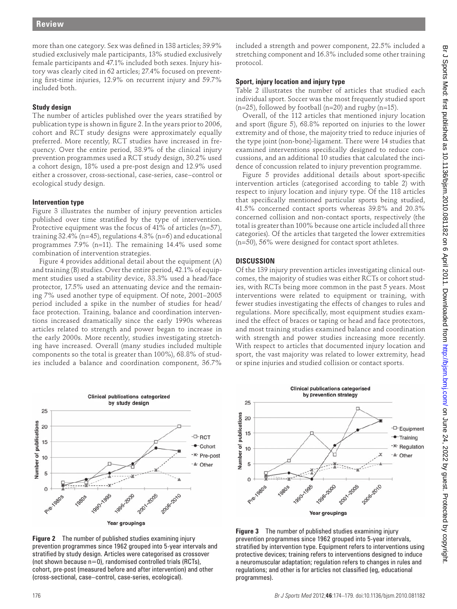more than one category. Sex was defined in 138 articles; 39.9% studied exclusively male participants, 13% studied exclusively female participants and 47.1% included both sexes. Injury history was clearly cited in 62 articles; 27.4% focused on preventing first-time injuries, 12.9% on recurrent injury and 59.7% included both.

# **Study design**

The number of articles published over the years stratified by publication type is shown in figure 2. In the years prior to 2006, cohort and RCT study designs were approximately equally preferred. More recently, RCT studies have increased in frequency. Over the entire period, 38.9% of the clinical injury prevention programmes used a RCT study design, 30.2% used a cohort design, 18% used a pre-post design and 12.9% used either a crossover, cross-sectional, case-series, case–control or ecological study design.

# **Intervention type**

Figure 3 illustrates the number of injury prevention articles published over time stratified by the type of intervention. Protective equipment was the focus of 41% of articles (n=57), training 32.4% (n=45), regulations 4.3% (n=6) and educational programmes 7.9% (n=11). The remaining 14.4% used some combination of intervention strategies.

Figure 4 provides additional detail about the equipment  $(A)$ and training (B) studies. Over the entire period, 42.1% of equipment studies used a stability device, 33.3% used a head/face protector, 17.5% used an attenuating device and the remaining 7% used another type of equipment. Of note, 2001–2005 period included a spike in the number of studies for head/ face protection. Training, balance and coordination interventions increased dramatically since the early 1990s whereas articles related to strength and power began to increase in the early 2000s. More recently, studies investigating stretching have increased. Overall (many studies included multiple components so the total is greater than 100%), 68.8% of studies included a balance and coordination component, 36.7%



 **Figure 2** The number of published studies examining injury prevention programmes since 1962 grouped into 5-year intervals and stratified by study design. Articles were categorised as crossover (not shown because  $n=0$ ), randomised controlled trials (RCTs), cohort, pre-post (measured before and after intervention) and other ( cross-sectional, case–control, case-series, ecological).

included a strength and power component, 22.5% included a stretching component and 16.3% included some other training protocol.

# **Sport, injury location and injury type**

Table 2 illustrates the number of articles that studied each individual sport. Soccer was the most frequently studied sport  $(n=25)$ , followed by football  $(n=20)$  and rugby  $(n=15)$ .

Overall, of the 112 articles that mentioned injury location and sport (figure 5), 68.8% reported on injuries to the lower extremity and of those, the majority tried to reduce injuries of the type joint (non-bone)-ligament. There were 14 studies that examined interventions specifically designed to reduce concussions, and an additional 10 studies that calculated the incidence of concussion related to injury prevention programme.

Figure 5 provides additional details about sport-specific intervention articles (categorised according to table 2) with respect to injury location and injury type. Of the 118 articles that specifically mentioned particular sports being studied, 41.5% concerned contact sports whereas 39.8% and 20.3% concerned collision and non-contact sports, respectively (the total is greater than 100% because one article included all three categories). Of the articles that targeted the lower extremities (n=50), 56% were designed for contact sport athletes.

# **DISCUSSION**

Of the 139 injury prevention articles investigating clinical outcomes, the majority of studies was either RCTs or cohort studies, with RCTs being more common in the past 5 years. Most interventions were related to equipment or training, with fewer studies investigating the effects of changes to rules and regulations. More specifically, most equipment studies examined the effect of braces or taping or head and face protectors, and most training studies examined balance and coordination with strength and power studies increasing more recently. With respect to articles that documented injury location and sport, the vast majority was related to lower extremity, head or spine injuries and studied collision or contact sports.



 **Figure 3** The number of published studies examining injury prevention programmes since 1962 grouped into 5-year intervals, stratified by intervention type. Equipment refers to interventions using protective devices; training refers to interventions designed to induce a neuromuscular adaptation; regulation refers to changes in rules and regulations; and other is for articles not classified (eg, educational programmes).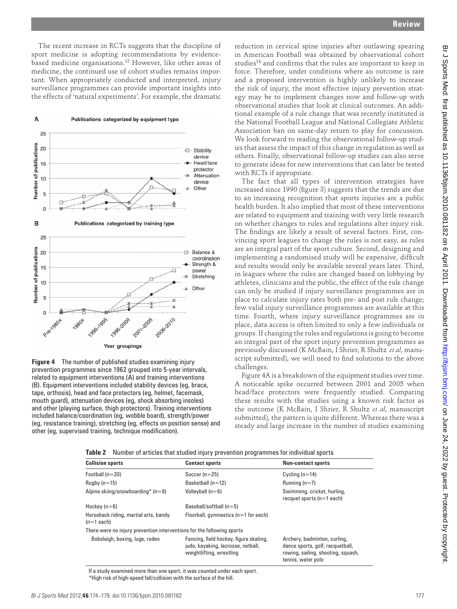The recent increase in RCTs suggests that the discipline of sport medicine is adopting recommendations by evidencebased medicine organisations. 13 However, like other areas of medicine, the continued use of cohort studies remains important. When appropriately conducted and interpreted, injury surveillance programmes can provide important insights into the effects of 'natural experiments'. For example, the dramatic



 **Figure 4** The number of published studies examining injury prevention programmes since 1962 grouped into 5-year intervals, related to equipment interventions (A) and training interventions (B). Equipment interventions included stability devices (eg, brace, tape, orthosis), head and face protectors (eg, helmet, facemask, mouth guard), attenuation devices (eg, shock absorbing insoles) and other (playing surface, thigh protectors). Training interventions included balance/coordination (eg, wobble board), strength/power (eg, resistance training), stretching (eg, effects on position sense) and other (eg, supervised training, technique modification).

reduction in cervical spine injuries after outlawing spearing in American Football was obtained by observational cohort studies<sup>14</sup> and confirms that the rules are important to keep in force. Therefore, under conditions where an outcome is rare and a proposed intervention is highly unlikely to increase the risk of injury, the most effective injury prevention strategy may be to implement changes now and follow-up with observational studies that look at clinical outcomes. An additional example of a rule change that was recently instituted is the National Football League and National Collegiate Athletic Association ban on same-day return to play for concussion. We look forward to reading the observational follow-up studies that assess the impact of this change in regulation as well as others. Finally, observational follow-up studies can also serve to generate ideas for new interventions that can later be tested with RCTs if appropriate.

The fact that all types of intervention strategies have increased since 1990 (figure 3) suggests that the trends are due to an increasing recognition that sports injuries are a public health burden. It also implied that most of these interventions are related to equipment and training with very little research on whether changes to rules and regulations alter injury risk. The findings are likely a result of several factors. First, convincing sport leagues to change the rules is not easy, as rules are an integral part of the sport culture. Second, designing and implementing a randomised study will be expensive, difficult and results would only be available several years later. Third, in leagues where the rules are changed based on lobbying by athletes, clinicians and the public, the effect of the rule change can only be studied if injury surveillance programmes are in place to calculate injury rates both pre- and post rule change; few valid injury surveillance programmes are available at this time. Fourth, where injury surveillance programmes are in place, data access is often limited to only a few individuals or groups. If changing the rules and regulations is going to become an integral part of the sport injury prevention programmes as previously discussed (K McBain, I Shrier, R Shultz *et al*, manuscript submitted), we will need to find solutions to the above challenges.

Figure 4Ais a breakdown of the equipment studies over time. A noticeable spike occurred between 2001 and 2005 when head/face protectors were frequently studied. Comparing these results with the studies using a known risk factor as the outcome (K McBain, I Shrier, R Shultz *et al*, manuscript submitted), the pattern is quite different. Whereas there was a steady and large increase in the number of studies examining

 **Table 2** Number of articles that studied injury prevention programmes for individual sports

| <b>Collision sports</b>                                                | <b>Contact sports</b>                                                                                    | <b>Non-contact sports</b>                                                                                                    |
|------------------------------------------------------------------------|----------------------------------------------------------------------------------------------------------|------------------------------------------------------------------------------------------------------------------------------|
| Football $(n=20)$                                                      | Soccer $(n=25)$                                                                                          | Cycling $(n=14)$                                                                                                             |
| Rugby $(n=15)$                                                         | Basketball $(n=12)$                                                                                      | Running $(n=7)$                                                                                                              |
| Alpine skiing/snowboarding* $(n=8)$                                    | Volleyball $(n=6)$                                                                                       | Swimming, cricket, hurling,<br>racquet sports $(n=1$ each)                                                                   |
| Hockey $(n=6)$                                                         | Baseball/softball $(n=5)$                                                                                |                                                                                                                              |
| Horseback riding, martial arts, bandy<br>$(n=1$ each)                  | Floorball, gymnastics $(n=1$ for each)                                                                   |                                                                                                                              |
| There were no injury prevention interventions for the following sports |                                                                                                          |                                                                                                                              |
| Bobsleigh, boxing, luge, rodeo                                         | Fencing, field hockey, figure skating,<br>judo, kayaking, lacrosse, netball,<br>weightlifting, wrestling | Archery, badminton, curling,<br>dance sports, golf, racquetball,<br>rowing, sailing, shooting, squash,<br>tennis, water polo |

 If a study examined more than one sport, it was counted under each sport. \*High risk of high-speed fall/collision with the surface of the hill.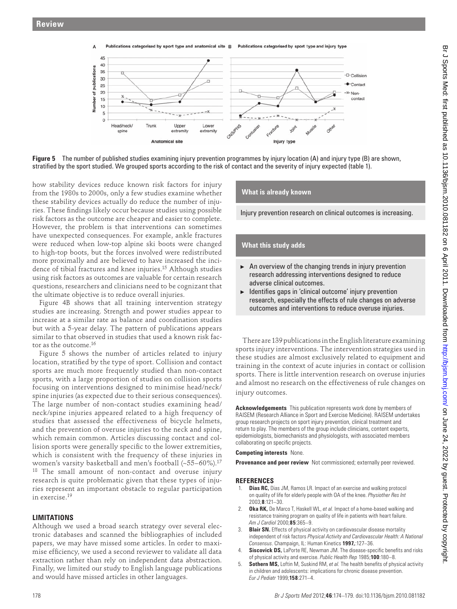

**Figure 5** The number of published studies examining injury prevention programmes by injury location (A) and injury type (B) are shown, stratified by the sport studied. We grouped sports according to the risk of contact and the severity of injury expected (table 1).

how stability devices reduce known risk factors for injury from the 1980s to 2000s, only a few studies examine whether these stability devices actually do reduce the number of injuries. These findings likely occur because studies using possible risk factors as the outcome are cheaper and easier to complete. However, the problem is that interventions can sometimes have unexpected consequences. For example, ankle fractures were reduced when low-top alpine ski boots were changed to high-top boots, but the forces involved were redistributed more proximally and are believed to have increased the incidence of tibial fractures and knee injuries. 15 Although studies using risk factors as outcomes are valuable for certain research questions, researchers and clinicians need to be cognizant that the ultimate objective is to reduce overall injuries.

Figure 4B shows that all training intervention strategy studies are increasing. Strength and power studies appear to increase at a similar rate as balance and coordination studies but with a 5-year delay. The pattern of publications appears similar to that observed in studies that used a known risk factor as the outcome.16

Figure 5 shows the number of articles related to injury location, stratified by the type of sport. Collision and contact sports are much more frequently studied than non-contact sports, with a large proportion of studies on collision sports focusing on interventions designed to minimise head/neck/ spine injuries (as expected due to their serious consequences). The large number of non-contact studies examining head/ neck/spine injuries appeared related to a high frequency of studies that assessed the effectiveness of bicycle helmets, and the prevention of overuse injuries to the neck and spine, which remain common. Articles discussing contact and collision sports were generally specific to the lower extremities, which is consistent with the frequency of these injuries in women's varsity basketball and men's football (~55–60%). 17 <sup>18</sup> The small amount of non-contact and overuse injury research is quite problematic given that these types of injuries represent an important obstacle to regular participation in exercise. 19

# **LIMITATIONS**

Although we used a broad search strategy over several electronic databases and scanned the bibliographies of included papers, we may have missed some articles. In order to maximise efficiency, we used a second reviewer to validate all data extraction rather than rely on independent data abstraction. Finally, we limited our study to English language publications and would have missed articles in other languages.

#### **What is already known**

Injury prevention research on clinical outcomes is increasing.

### **What this study adds**

- $\blacktriangleright$  An overview of the changing trends in injury prevention research addressing interventions designed to reduce adverse clinical outcomes.
- $\blacktriangleright$  Identifies gaps in 'clinical outcome' injury prevention research, especially the effects of rule changes on adverse outcomes and interventions to reduce overuse injuries.

There are 139 publications in the English literature examining sports injury interventions. The intervention strategies used in these studies are almost exclusively related to equipment and training in the context of acute injuries in contact or collision sports. There is little intervention research on overuse injuries and almost no research on the effectiveness of rule changes on injury outcomes.

 **Acknowledgements** This publication represents work done by members of RAISEM (Research Alliance in Sport and Exercise Medicine). RAISEM undertakes group research projects on sport injury prevention, clinical treatment and return to play. The members of the group include clinicians, content experts, epidemiologists, biomechanists and physiologists, with associated members collaborating on specific projects.

#### **Competing interests** None.

**Provenance and peer review** Not commissioned; externally peer reviewed.

#### **REFERENCES**

- 1. **Dias RC,** Dias JM, Ramos LR. Impact of an exercise and walking protocol on quality of life for elderly people with OA of the knee. *Physiother Res Int* 2003 ; **8** : 121 – 30 .
- 2. **Oka RK,** De Marco T, Haskell WL, *et al.* Impact of a home-based walking and resistance training program on quality of life in patients with heart failure. *Am J Cardiol* 2000 ; **85** : 365 – 9 .
- 3. **Blair SN.** Effects of physical activity on cardiovascular disease mortality independent of risk factors *Physical Activity and Cardiovascular Health: A National Consensus* . Champaign, IL : Human Kinetics **1997,** : 127 – 36 .
- **Siscovick DS,** LaPorte RE, Newman JM. The disease-specific benefits and risks of physical activity and exercise. *Public Health Rep* 1985 ; **100** : 180 – 8 .
- **Sothern MS,** Loftin M, Suskind RM, et al. The health benefits of physical activity in children and adolescents: implications for chronic disease prevention. *Eur J Pediatr* 1999 ; **158** : 271 – 4 .